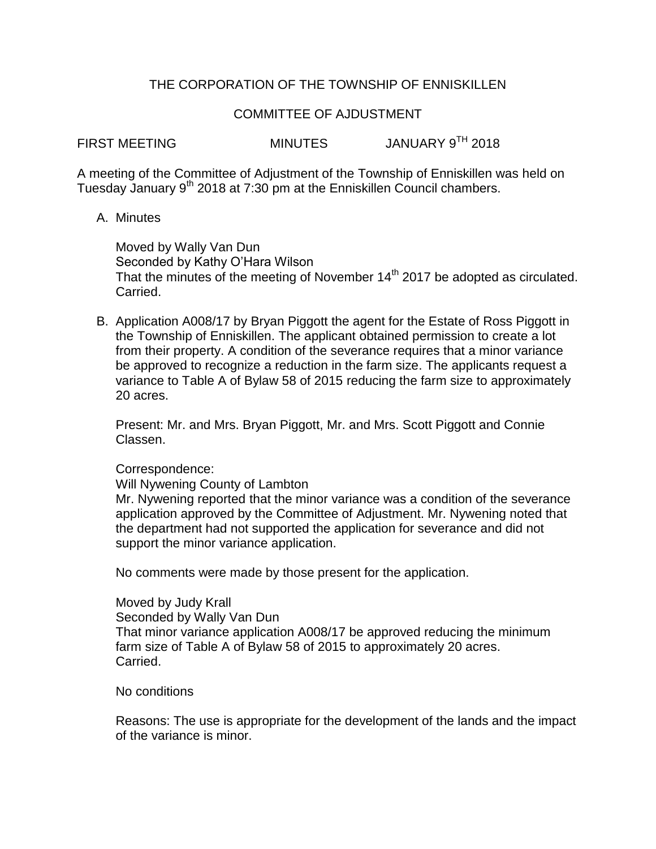# THE CORPORATION OF THE TOWNSHIP OF ENNISKILLEN

## COMMITTEE OF AJDUSTMENT

FIRST MEETING MINUTES JANUARY 9<sup>TH</sup> 2018

A meeting of the Committee of Adjustment of the Township of Enniskillen was held on Tuesday January 9<sup>th</sup> 2018 at 7:30 pm at the Enniskillen Council chambers.

## A. Minutes

Moved by Wally Van Dun Seconded by Kathy O'Hara Wilson That the minutes of the meeting of November  $14<sup>th</sup>$  2017 be adopted as circulated. Carried.

B. Application A008/17 by Bryan Piggott the agent for the Estate of Ross Piggott in the Township of Enniskillen. The applicant obtained permission to create a lot from their property. A condition of the severance requires that a minor variance be approved to recognize a reduction in the farm size. The applicants request a variance to Table A of Bylaw 58 of 2015 reducing the farm size to approximately 20 acres.

Present: Mr. and Mrs. Bryan Piggott, Mr. and Mrs. Scott Piggott and Connie Classen.

### Correspondence:

Will Nywening County of Lambton

Mr. Nywening reported that the minor variance was a condition of the severance application approved by the Committee of Adjustment. Mr. Nywening noted that the department had not supported the application for severance and did not support the minor variance application.

No comments were made by those present for the application.

Moved by Judy Krall Seconded by Wally Van Dun That minor variance application A008/17 be approved reducing the minimum farm size of Table A of Bylaw 58 of 2015 to approximately 20 acres. Carried.

### No conditions

Reasons: The use is appropriate for the development of the lands and the impact of the variance is minor.